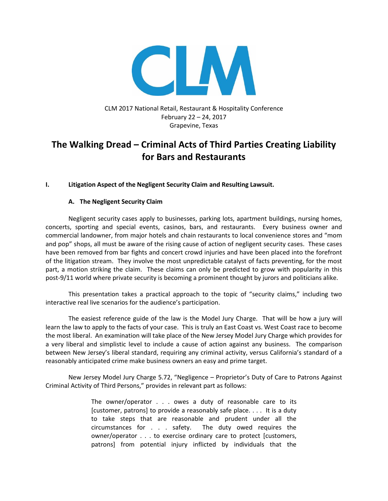

CLM 2017 National Retail, Restaurant & Hospitality Conference February 22 – 24, 2017 Grapevine, Texas

# **The Walking Dread – Criminal Acts of Third Parties Creating Liability for Bars and Restaurants**

# **I. Litigation Aspect of the Negligent Security Claim and Resulting Lawsuit.**

# **A. The Negligent Security Claim**

Negligent security cases apply to businesses, parking lots, apartment buildings, nursing homes, concerts, sporting and special events, casinos, bars, and restaurants. Every business owner and commercial landowner, from major hotels and chain restaurants to local convenience stores and "mom and pop" shops, all must be aware of the rising cause of action of negligent security cases. These cases have been removed from bar fights and concert crowd injuries and have been placed into the forefront of the litigation stream. They involve the most unpredictable catalyst of facts preventing, for the most part, a motion striking the claim. These claims can only be predicted to grow with popularity in this post-9/11 world where private security is becoming a prominent thought by jurors and politicians alike.

This presentation takes a practical approach to the topic of "security claims," including two interactive real live scenarios for the audience's participation.

The easiest reference guide of the law is the Model Jury Charge. That will be how a jury will learn the law to apply to the facts of your case. This is truly an East Coast vs. West Coast race to become the most liberal. An examination will take place of the New Jersey Model Jury Charge which provides for a very liberal and simplistic level to include a cause of action against any business. The comparison between New Jersey's liberal standard, requiring any criminal activity, versus California's standard of a reasonably anticipated crime make business owners an easy and prime target.

New Jersey Model Jury Charge 5.72, "Negligence – Proprietor's Duty of Care to Patrons Against Criminal Activity of Third Persons," provides in relevant part as follows:

> The owner/operator . . . owes a duty of reasonable care to its [customer, patrons] to provide a reasonably safe place. . . . It is a duty to take steps that are reasonable and prudent under all the circumstances for . . . safety. The duty owed requires the owner/operator . . . to exercise ordinary care to protect [customers, patrons] from potential injury inflicted by individuals that the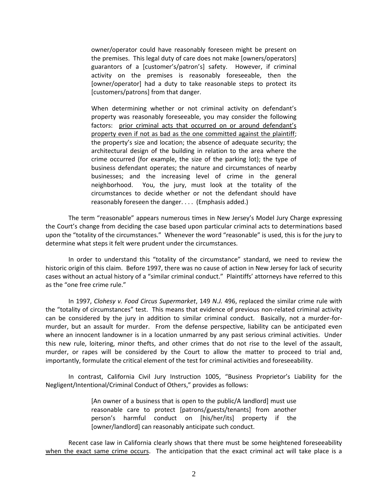owner/operator could have reasonably foreseen might be present on the premises. This legal duty of care does not make [owners/operators] guarantors of a [customer's/patron's] safety. However, if criminal activity on the premises is reasonably foreseeable, then the [owner/operator] had a duty to take reasonable steps to protect its [customers/patrons] from that danger.

When determining whether or not criminal activity on defendant's property was reasonably foreseeable, you may consider the following factors: prior criminal acts that occurred on or around defendant's property even if not as bad as the one committed against the plaintiff; the property's size and location; the absence of adequate security; the architectural design of the building in relation to the area where the crime occurred (for example, the size of the parking lot); the type of business defendant operates; the nature and circumstances of nearby businesses; and the increasing level of crime in the general neighborhood. You, the jury, must look at the totality of the circumstances to decide whether or not the defendant should have reasonably foreseen the danger. . . . (Emphasis added.)

The term "reasonable" appears numerous times in New Jersey's Model Jury Charge expressing the Court's change from deciding the case based upon particular criminal acts to determinations based upon the "totality of the circumstances." Whenever the word "reasonable" is used, this is for the jury to determine what steps it felt were prudent under the circumstances.

In order to understand this "totality of the circumstance" standard, we need to review the historic origin of this claim. Before 1997, there was no cause of action in New Jersey for lack of security cases without an actual history of a "similar criminal conduct." Plaintiffs' attorneys have referred to this as the "one free crime rule."

In 1997, *Clohesy v. Food Circus Supermarket*, 149 *N.J.* 496, replaced the similar crime rule with the "totality of circumstances" test. This means that evidence of previous non-related criminal activity can be considered by the jury in addition to similar criminal conduct. Basically, not a murder-formurder, but an assault for murder. From the defense perspective, liability can be anticipated even where an innocent landowner is in a location unmarred by any past serious criminal activities. Under this new rule, loitering, minor thefts, and other crimes that do not rise to the level of the assault, murder, or rapes will be considered by the Court to allow the matter to proceed to trial and, importantly, formulate the critical element of the test for criminal activities and foreseeability.

In contrast, California Civil Jury Instruction 1005, "Business Proprietor's Liability for the Negligent/Intentional/Criminal Conduct of Others," provides as follows:

> [An owner of a business that is open to the public/A landlord] must use reasonable care to protect [patrons/guests/tenants] from another person's harmful conduct on [his/her/its] property if the [owner/landlord] can reasonably anticipate such conduct.

Recent case law in California clearly shows that there must be some heightened foreseeability when the exact same crime occurs. The anticipation that the exact criminal act will take place is a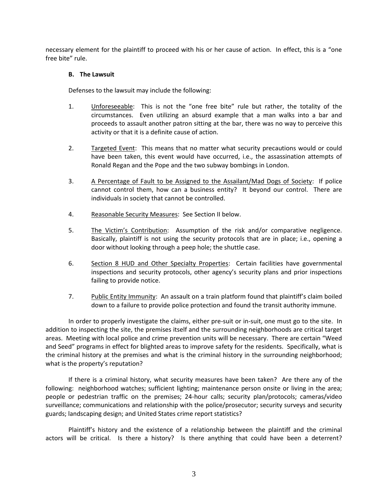necessary element for the plaintiff to proceed with his or her cause of action. In effect, this is a "one free bite" rule.

## **B. The Lawsuit**

Defenses to the lawsuit may include the following:

- 1. Unforeseeable: This is not the "one free bite" rule but rather, the totality of the circumstances. Even utilizing an absurd example that a man walks into a bar and proceeds to assault another patron sitting at the bar, there was no way to perceive this activity or that it is a definite cause of action.
- 2. Targeted Event: This means that no matter what security precautions would or could have been taken, this event would have occurred, i.e., the assassination attempts of Ronald Regan and the Pope and the two subway bombings in London.
- 3. A Percentage of Fault to be Assigned to the Assailant/Mad Dogs of Society: If police cannot control them, how can a business entity? It beyond our control. There are individuals in society that cannot be controlled.
- 4. Reasonable Security Measures: See Section II below.
- 5. The Victim's Contribution: Assumption of the risk and/or comparative negligence. Basically, plaintiff is not using the security protocols that are in place; i.e., opening a door without looking through a peep hole; the shuttle case.
- 6. Section 8 HUD and Other Specialty Properties: Certain facilities have governmental inspections and security protocols, other agency's security plans and prior inspections failing to provide notice.
- 7. Public Entity Immunity: An assault on a train platform found that plaintiff's claim boiled down to a failure to provide police protection and found the transit authority immune.

In order to properly investigate the claims, either pre-suit or in-suit, one must go to the site. In addition to inspecting the site, the premises itself and the surrounding neighborhoods are critical target areas. Meeting with local police and crime prevention units will be necessary. There are certain "Weed and Seed" programs in effect for blighted areas to improve safety for the residents. Specifically, what is the criminal history at the premises and what is the criminal history in the surrounding neighborhood; what is the property's reputation?

If there is a criminal history, what security measures have been taken? Are there any of the following: neighborhood watches; sufficient lighting; maintenance person onsite or living in the area; people or pedestrian traffic on the premises; 24-hour calls; security plan/protocols; cameras/video surveillance; communications and relationship with the police/prosecutor; security surveys and security guards; landscaping design; and United States crime report statistics?

Plaintiff's history and the existence of a relationship between the plaintiff and the criminal actors will be critical. Is there a history? Is there anything that could have been a deterrent?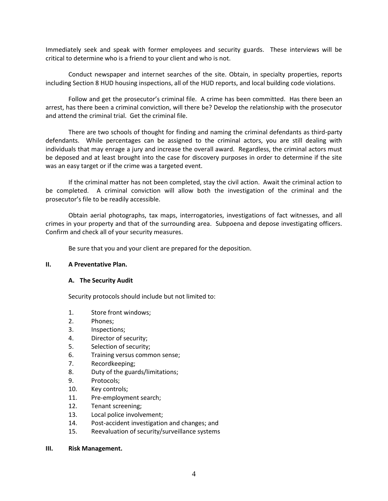Immediately seek and speak with former employees and security guards. These interviews will be critical to determine who is a friend to your client and who is not.

Conduct newspaper and internet searches of the site. Obtain, in specialty properties, reports including Section 8 HUD housing inspections, all of the HUD reports, and local building code violations.

Follow and get the prosecutor's criminal file. A crime has been committed. Has there been an arrest, has there been a criminal conviction, will there be? Develop the relationship with the prosecutor and attend the criminal trial. Get the criminal file.

There are two schools of thought for finding and naming the criminal defendants as third-party defendants. While percentages can be assigned to the criminal actors, you are still dealing with individuals that may enrage a jury and increase the overall award. Regardless, the criminal actors must be deposed and at least brought into the case for discovery purposes in order to determine if the site was an easy target or if the crime was a targeted event.

If the criminal matter has not been completed, stay the civil action. Await the criminal action to be completed. A criminal conviction will allow both the investigation of the criminal and the prosecutor's file to be readily accessible.

Obtain aerial photographs, tax maps, interrogatories, investigations of fact witnesses, and all crimes in your property and that of the surrounding area. Subpoena and depose investigating officers. Confirm and check all of your security measures.

Be sure that you and your client are prepared for the deposition.

## **II. A Preventative Plan.**

## **A. The Security Audit**

Security protocols should include but not limited to:

- 1. Store front windows;
- 2. Phones;
- 3. Inspections;
- 4. Director of security;
- 5. Selection of security;
- 6. Training versus common sense;
- 7. Recordkeeping;
- 8. Duty of the guards/limitations;
- 9. Protocols;
- 10. Key controls;
- 11. Pre-employment search;
- 12. Tenant screening;
- 13. Local police involvement;
- 14. Post-accident investigation and changes; and
- 15. Reevaluation of security/surveillance systems

#### **III. Risk Management.**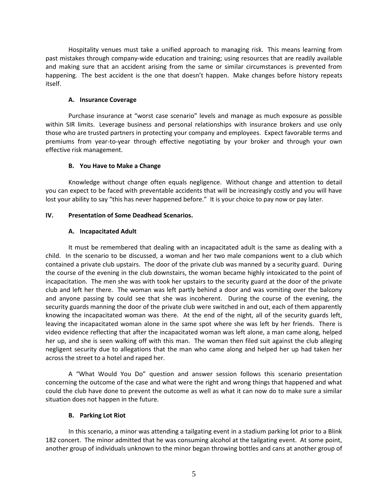Hospitality venues must take a unified approach to managing risk. This means learning from past mistakes through company-wide education and training; using resources that are readily available and making sure that an accident arising from the same or similar circumstances is prevented from happening. The best accident is the one that doesn't happen. Make changes before history repeats itself.

## **A. Insurance Coverage**

Purchase insurance at "worst case scenario" levels and manage as much exposure as possible within SIR limits. Leverage business and personal relationships with insurance brokers and use only those who are trusted partners in protecting your company and employees. Expect favorable terms and premiums from year-to-year through effective negotiating by your broker and through your own effective risk management.

## **B. You Have to Make a Change**

Knowledge without change often equals negligence. Without change and attention to detail you can expect to be faced with preventable accidents that will be increasingly costly and you will have lost your ability to say "this has never happened before." It is your choice to pay now or pay later.

# **IV. Presentation of Some Deadhead Scenarios.**

# **A. Incapacitated Adult**

It must be remembered that dealing with an incapacitated adult is the same as dealing with a child. In the scenario to be discussed, a woman and her two male companions went to a club which contained a private club upstairs. The door of the private club was manned by a security guard. During the course of the evening in the club downstairs, the woman became highly intoxicated to the point of incapacitation. The men she was with took her upstairs to the security guard at the door of the private club and left her there. The woman was left partly behind a door and was vomiting over the balcony and anyone passing by could see that she was incoherent. During the course of the evening, the security guards manning the door of the private club were switched in and out, each of them apparently knowing the incapacitated woman was there. At the end of the night, all of the security guards left, leaving the incapacitated woman alone in the same spot where she was left by her friends. There is video evidence reflecting that after the incapacitated woman was left alone, a man came along, helped her up, and she is seen walking off with this man. The woman then filed suit against the club alleging negligent security due to allegations that the man who came along and helped her up had taken her across the street to a hotel and raped her.

A "What Would You Do" question and answer session follows this scenario presentation concerning the outcome of the case and what were the right and wrong things that happened and what could the club have done to prevent the outcome as well as what it can now do to make sure a similar situation does not happen in the future.

## **B. Parking Lot Riot**

In this scenario, a minor was attending a tailgating event in a stadium parking lot prior to a Blink 182 concert. The minor admitted that he was consuming alcohol at the tailgating event. At some point, another group of individuals unknown to the minor began throwing bottles and cans at another group of